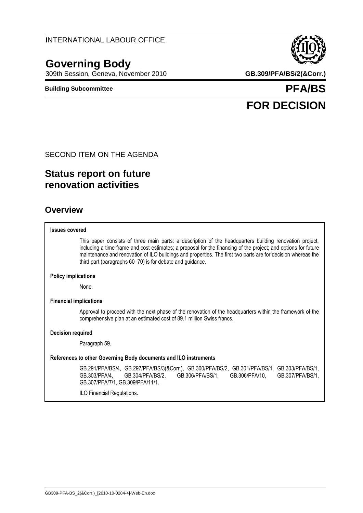# **Governing Body**

309th Session, Geneva, November 2010 **GB.309/PFA/BS/2(&Corr.)**

**Building Subcommittee PFA/BS FOR DECISION**

#### SECOND ITEM ON THE AGENDA

# **Status report on future renovation activities**

### **Overview**

#### **Issues covered**

This paper consists of three main parts: a description of the headquarters building renovation project, including a time frame and cost estimates; a proposal for the financing of the project; and options for future maintenance and renovation of ILO buildings and properties. The first two parts are for decision whereas the third part (paragraphs 60–70) is for debate and guidance.

#### **Policy implications**

None.

#### **Financial implications**

Approval to proceed with the next phase of the renovation of the headquarters within the framework of the comprehensive plan at an estimated cost of 89.1 million Swiss francs.

#### **Decision required**

Paragraph 59.

#### **References to other Governing Body documents and ILO instruments**

GB.291/PFA/BS/4, GB.297/PFA/BS/3(&Corr.), GB.300/PFA/BS/2, GB.301/PFA/BS/1, GB.303/PFA/BS/1, GB.303/PFA/4, GB.304/PFA/BS/2, GB.306/PFA/BS/1, GB.306/PFA/10, GB.307/PFA/BS/1, GB.307/PFA/7/1, GB.309/PFA/11/1.

ILO Financial Regulations.

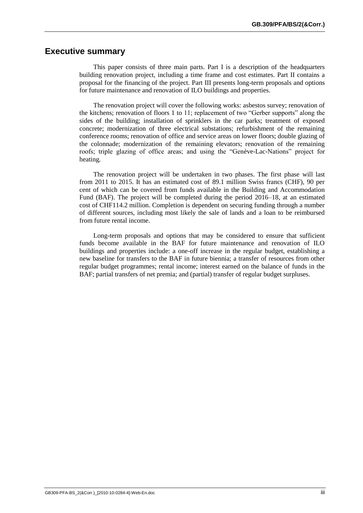#### **Executive summary**

This paper consists of three main parts. Part I is a description of the headquarters building renovation project, including a time frame and cost estimates. Part II contains a proposal for the financing of the project. Part III presents long-term proposals and options for future maintenance and renovation of ILO buildings and properties.

The renovation project will cover the following works: asbestos survey; renovation of the kitchens; renovation of floors 1 to 11; replacement of two "Gerber supports" along the sides of the building; installation of sprinklers in the car parks; treatment of exposed concrete; modernization of three electrical substations; refurbishment of the remaining conference rooms; renovation of office and service areas on lower floors; double glazing of the colonnade; modernization of the remaining elevators; renovation of the remaining roofs; triple glazing of office areas; and using the "Genève-Lac-Nations" project for heating.

The renovation project will be undertaken in two phases. The first phase will last from 2011 to 2015. It has an estimated cost of 89.1 million Swiss francs (CHF), 90 per cent of which can be covered from funds available in the Building and Accommodation Fund (BAF). The project will be completed during the period 2016–18, at an estimated cost of CHF114.2 million. Completion is dependent on securing funding through a number of different sources, including most likely the sale of lands and a loan to be reimbursed from future rental income.

Long-term proposals and options that may be considered to ensure that sufficient funds become available in the BAF for future maintenance and renovation of ILO buildings and properties include: a one-off increase in the regular budget, establishing a new baseline for transfers to the BAF in future biennia; a transfer of resources from other regular budget programmes; rental income; interest earned on the balance of funds in the BAF; partial transfers of net premia; and (partial) transfer of regular budget surpluses.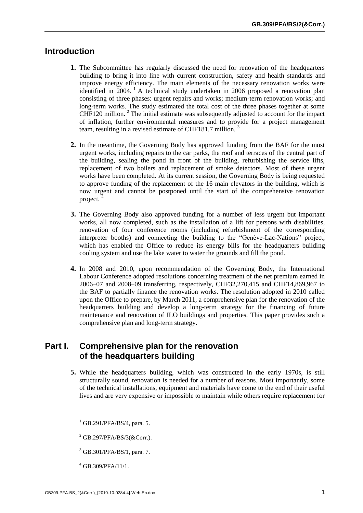### **Introduction**

- **1.** The Subcommittee has regularly discussed the need for renovation of the headquarters building to bring it into line with current construction, safety and health standards and improve energy efficiency. The main elements of the necessary renovation works were identified in  $2004$ . A technical study undertaken in 2006 proposed a renovation plan consisting of three phases: urgent repairs and works; medium-term renovation works; and long-term works. The study estimated the total cost of the three phases together at some CHF120 million.<sup>2</sup> The initial estimate was subsequently adjusted to account for the impact of inflation, further environmental measures and to provide for a project management team, resulting in a revised estimate of CHF181.7 million.<sup>3</sup>
- **2.** In the meantime, the Governing Body has approved funding from the BAF for the most urgent works, including repairs to the car parks, the roof and terraces of the central part of the building, sealing the pond in front of the building, refurbishing the service lifts, replacement of two boilers and replacement of smoke detectors. Most of these urgent works have been completed. At its current session, the Governing Body is being requested to approve funding of the replacement of the 16 main elevators in the building, which is now urgent and cannot be postponed until the start of the comprehensive renovation project. <sup>4</sup>
- **3.** The Governing Body also approved funding for a number of less urgent but important works, all now completed, such as the installation of a lift for persons with disabilities, renovation of four conference rooms (including refurbishment of the corresponding interpreter booths) and connecting the building to the "Genève-Lac-Nations" project, which has enabled the Office to reduce its energy bills for the headquarters building cooling system and use the lake water to water the grounds and fill the pond.
- **4.** In 2008 and 2010, upon recommendation of the Governing Body, the International Labour Conference adopted resolutions concerning treatment of the net premium earned in 2006–07 and 2008–09 transferring, respectively, CHF32,270,415 and CHF14,869,967 to the BAF to partially finance the renovation works. The resolution adopted in 2010 called upon the Office to prepare, by March 2011, a comprehensive plan for the renovation of the headquarters building and develop a long-term strategy for the financing of future maintenance and renovation of ILO buildings and properties. This paper provides such a comprehensive plan and long-term strategy.

### **Part I. Comprehensive plan for the renovation of the headquarters building**

- **5.** While the headquarters building, which was constructed in the early 1970s, is still structurally sound, renovation is needed for a number of reasons. Most importantly, some of the technical installations, equipment and materials have come to the end of their useful lives and are very expensive or impossible to maintain while others require replacement for
	- $1$  GB.291/PFA/BS/4, para. 5.
	- $2$  GB.297/PFA/BS/3(&Corr.).
	- <sup>3</sup> GB.301/PFA/BS/1, para. 7.
	- $4$  GB.309/PFA/11/1.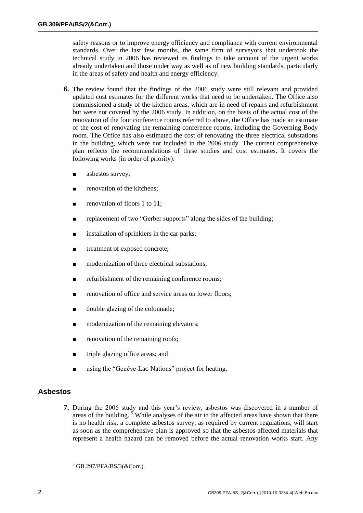safety reasons or to improve energy efficiency and compliance with current environmental standards. Over the last few months, the same firm of surveyors that undertook the technical study in 2006 has reviewed its findings to take account of the urgent works already undertaken and those under way as well as of new building standards, particularly in the areas of safety and health and energy efficiency.

- **6.** The review found that the findings of the 2006 study were still relevant and provided updated cost estimates for the different works that need to be undertaken. The Office also commissioned a study of the kitchen areas, which are in need of repairs and refurbishment but were not covered by the 2006 study. In addition, on the basis of the actual cost of the renovation of the four conference rooms referred to above, the Office has made an estimate of the cost of renovating the remaining conference rooms, including the Governing Body room. The Office has also estimated the cost of renovating the three electrical substations in the building, which were not included in the 2006 study. The current comprehensive plan reflects the recommendations of these studies and cost estimates. It covers the following works (in order of priority):
	- asbestos survey;
	- renovation of the kitchens;
	- renovation of floors 1 to 11;
	- replacement of two "Gerber supports" along the sides of the building;
	- installation of sprinklers in the car parks;
	- treatment of exposed concrete;
	- modernization of three electrical substations;
	- refurbishment of the remaining conference rooms;
	- renovation of office and service areas on lower floors;
	- double glazing of the colonnade;
	- modernization of the remaining elevators;
	- renovation of the remaining roofs;
	- triple glazing office areas; and
	- using the "Genève-Lac-Nations" project for heating.

#### **Asbestos**

- **7.** During the 2006 study and this year's review, asbestos was discovered in a number of areas of the building.  $5$  While analyses of the air in the affected areas have shown that there is no health risk, a complete asbestos survey, as required by current regulations, will start as soon as the comprehensive plan is approved so that the asbestos-affected materials that represent a health hazard can be removed before the actual renovation works start. Any
	- $5$  GB.297/PFA/BS/3(&Corr.).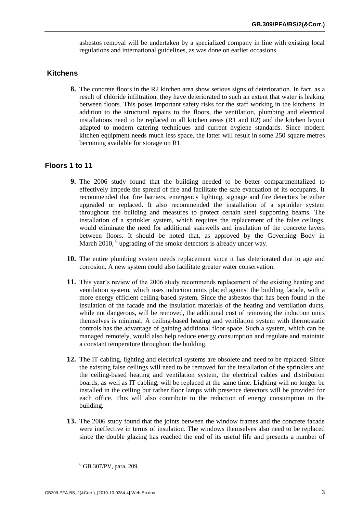asbestos removal will be undertaken by a specialized company in line with existing local regulations and international guidelines, as was done on earlier occasions.

#### **Kitchens**

**8.** The concrete floors in the R2 kitchen area show serious signs of deterioration. In fact, as a result of chloride infiltration, they have deteriorated to such an extent that water is leaking between floors. This poses important safety risks for the staff working in the kitchens. In addition to the structural repairs to the floors, the ventilation, plumbing and electrical installations need to be replaced in all kitchen areas (R1 and R2) and the kitchen layout adapted to modern catering techniques and current hygiene standards. Since modern kitchen equipment needs much less space, the latter will result in some 250 square metres becoming available for storage on R1.

#### **Floors 1 to 11**

- **9.** The 2006 study found that the building needed to be better compartmentalized to effectively impede the spread of fire and facilitate the safe evacuation of its occupants. It recommended that fire barriers, emergency lighting, signage and fire detectors be either upgraded or replaced. It also recommended the installation of a sprinkler system throughout the building and measures to protect certain steel supporting beams. The installation of a sprinkler system, which requires the replacement of the false ceilings, would eliminate the need for additional stairwells and insulation of the concrete layers between floors. It should be noted that, as approved by the Governing Body in March 2010, <sup>6</sup> upgrading of the smoke detectors is already under way.
- **10.** The entire plumbing system needs replacement since it has deteriorated due to age and corrosion. A new system could also facilitate greater water conservation.
- **11.** This year's review of the 2006 study recommends replacement of the existing heating and ventilation system, which uses induction units placed against the building facade, with a more energy efficient ceiling-based system. Since the asbestos that has been found in the insulation of the facade and the insulation materials of the heating and ventilation ducts, while not dangerous, will be removed, the additional cost of removing the induction units themselves is minimal. A ceiling-based heating and ventilation system with thermostatic controls has the advantage of gaining additional floor space. Such a system, which can be managed remotely, would also help reduce energy consumption and regulate and maintain a constant temperature throughout the building.
- **12.** The IT cabling, lighting and electrical systems are obsolete and need to be replaced. Since the existing false ceilings will need to be removed for the installation of the sprinklers and the ceiling-based heating and ventilation system, the electrical cables and distribution boards, as well as IT cabling, will be replaced at the same time. Lighting will no longer be installed in the ceiling but rather floor lamps with presence detectors will be provided for each office. This will also contribute to the reduction of energy consumption in the building.
- **13.** The 2006 study found that the joints between the window frames and the concrete facade were ineffective in terms of insulation. The windows themselves also need to be replaced since the double glazing has reached the end of its useful life and presents a number of

<sup>6</sup> GB.307/PV, para. 209.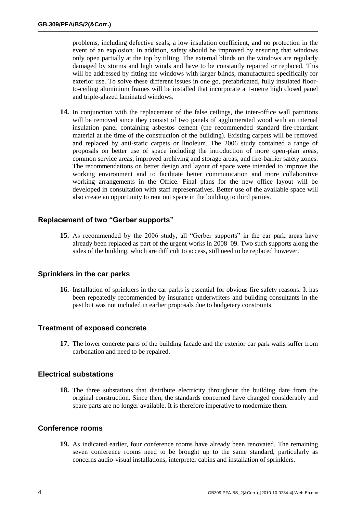problems, including defective seals, a low insulation coefficient, and no protection in the event of an explosion. In addition, safety should be improved by ensuring that windows only open partially at the top by tilting. The external blinds on the windows are regularly damaged by storms and high winds and have to be constantly repaired or replaced. This will be addressed by fitting the windows with larger blinds, manufactured specifically for exterior use. To solve these different issues in one go, prefabricated, fully insulated floorto-ceiling aluminium frames will be installed that incorporate a 1-metre high closed panel and triple-glazed laminated windows.

**14.** In conjunction with the replacement of the false ceilings, the inter-office wall partitions will be removed since they consist of two panels of agglomerated wood with an internal insulation panel containing asbestos cement (the recommended standard fire-retardant material at the time of the construction of the building). Existing carpets will be removed and replaced by anti-static carpets or linoleum. The 2006 study contained a range of proposals on better use of space including the introduction of more open-plan areas, common service areas, improved archiving and storage areas, and fire-barrier safety zones. The recommendations on better design and layout of space were intended to improve the working environment and to facilitate better communication and more collaborative working arrangements in the Office. Final plans for the new office layout will be developed in consultation with staff representatives. Better use of the available space will also create an opportunity to rent out space in the building to third parties.

#### **Replacement of two "Gerber supports"**

**15.** As recommended by the 2006 study, all "Gerber supports" in the car park areas have already been replaced as part of the urgent works in 2008–09. Two such supports along the sides of the building, which are difficult to access, still need to be replaced however.

#### **Sprinklers in the car parks**

**16.** Installation of sprinklers in the car parks is essential for obvious fire safety reasons. It has been repeatedly recommended by insurance underwriters and building consultants in the past but was not included in earlier proposals due to budgetary constraints.

#### **Treatment of exposed concrete**

**17.** The lower concrete parts of the building facade and the exterior car park walls suffer from carbonation and need to be repaired.

#### **Electrical substations**

**18.** The three substations that distribute electricity throughout the building date from the original construction. Since then, the standards concerned have changed considerably and spare parts are no longer available. It is therefore imperative to modernize them.

#### **Conference rooms**

**19.** As indicated earlier, four conference rooms have already been renovated. The remaining seven conference rooms need to be brought up to the same standard, particularly as concerns audio-visual installations, interpreter cabins and installation of sprinklers.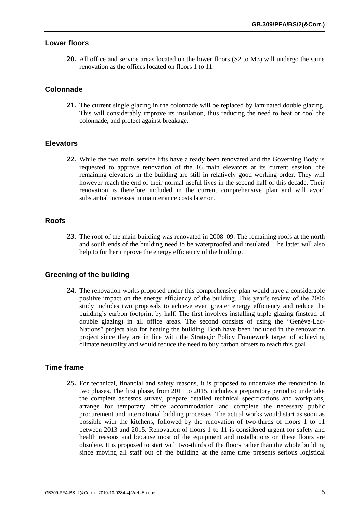#### **Lower floors**

**20.** All office and service areas located on the lower floors (S2 to M3) will undergo the same renovation as the offices located on floors 1 to 11.

#### **Colonnade**

**21.** The current single glazing in the colonnade will be replaced by laminated double glazing. This will considerably improve its insulation, thus reducing the need to heat or cool the colonnade, and protect against breakage.

#### **Elevators**

**22.** While the two main service lifts have already been renovated and the Governing Body is requested to approve renovation of the 16 main elevators at its current session, the remaining elevators in the building are still in relatively good working order. They will however reach the end of their normal useful lives in the second half of this decade. Their renovation is therefore included in the current comprehensive plan and will avoid substantial increases in maintenance costs later on.

#### **Roofs**

**23.** The roof of the main building was renovated in 2008–09. The remaining roofs at the north and south ends of the building need to be waterproofed and insulated. The latter will also help to further improve the energy efficiency of the building.

### **Greening of the building**

**24.** The renovation works proposed under this comprehensive plan would have a considerable positive impact on the energy efficiency of the building. This year's review of the 2006 study includes two proposals to achieve even greater energy efficiency and reduce the building's carbon footprint by half. The first involves installing triple glazing (instead of double glazing) in all office areas. The second consists of using the "Genève-Lac-Nations" project also for heating the building. Both have been included in the renovation project since they are in line with the Strategic Policy Framework target of achieving climate neutrality and would reduce the need to buy carbon offsets to reach this goal.

#### **Time frame**

**25.** For technical, financial and safety reasons, it is proposed to undertake the renovation in two phases. The first phase, from 2011 to 2015, includes a preparatory period to undertake the complete asbestos survey, prepare detailed technical specifications and workplans, arrange for temporary office accommodation and complete the necessary public procurement and international bidding processes. The actual works would start as soon as possible with the kitchens, followed by the renovation of two-thirds of floors 1 to 11 between 2013 and 2015. Renovation of floors 1 to 11 is considered urgent for safety and health reasons and because most of the equipment and installations on these floors are obsolete. It is proposed to start with two-thirds of the floors rather than the whole building since moving all staff out of the building at the same time presents serious logistical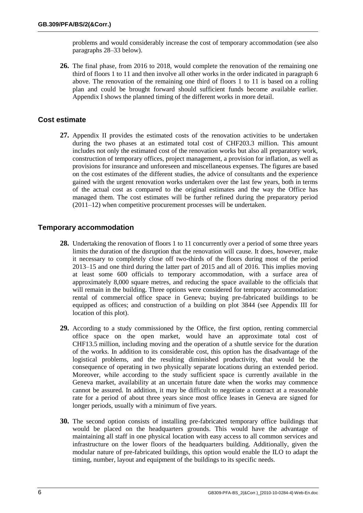problems and would considerably increase the cost of temporary accommodation (see also paragraphs 28–33 below).

**26.** The final phase, from 2016 to 2018, would complete the renovation of the remaining one third of floors 1 to 11 and then involve all other works in the order indicated in paragraph 6 above. The renovation of the remaining one third of floors 1 to 11 is based on a rolling plan and could be brought forward should sufficient funds become available earlier. Appendix I shows the planned timing of the different works in more detail.

#### **Cost estimate**

**27.** Appendix II provides the estimated costs of the renovation activities to be undertaken during the two phases at an estimated total cost of CHF203.3 million. This amount includes not only the estimated cost of the renovation works but also all preparatory work, construction of temporary offices, project management, a provision for inflation, as well as provisions for insurance and unforeseen and miscellaneous expenses. The figures are based on the cost estimates of the different studies, the advice of consultants and the experience gained with the urgent renovation works undertaken over the last few years, both in terms of the actual cost as compared to the original estimates and the way the Office has managed them. The cost estimates will be further refined during the preparatory period (2011–12) when competitive procurement processes will be undertaken.

#### **Temporary accommodation**

- **28.** Undertaking the renovation of floors 1 to 11 concurrently over a period of some three years limits the duration of the disruption that the renovation will cause. It does, however, make it necessary to completely close off two-thirds of the floors during most of the period 2013–15 and one third during the latter part of 2015 and all of 2016. This implies moving at least some 600 officials to temporary accommodation, with a surface area of approximately 8,000 square metres, and reducing the space available to the officials that will remain in the building. Three options were considered for temporary accommodation: rental of commercial office space in Geneva; buying pre-fabricated buildings to be equipped as offices; and construction of a building on plot 3844 (see Appendix III for location of this plot).
- **29.** According to a study commissioned by the Office, the first option, renting commercial office space on the open market, would have an approximate total cost of CHF13.5 million, including moving and the operation of a shuttle service for the duration of the works. In addition to its considerable cost, this option has the disadvantage of the logistical problems, and the resulting diminished productivity, that would be the consequence of operating in two physically separate locations during an extended period. Moreover, while according to the study sufficient space is currently available in the Geneva market, availability at an uncertain future date when the works may commence cannot be assured. In addition, it may be difficult to negotiate a contract at a reasonable rate for a period of about three years since most office leases in Geneva are signed for longer periods, usually with a minimum of five years.
- **30.** The second option consists of installing pre-fabricated temporary office buildings that would be placed on the headquarters grounds. This would have the advantage of maintaining all staff in one physical location with easy access to all common services and infrastructure on the lower floors of the headquarters building. Additionally, given the modular nature of pre-fabricated buildings, this option would enable the ILO to adapt the timing, number, layout and equipment of the buildings to its specific needs.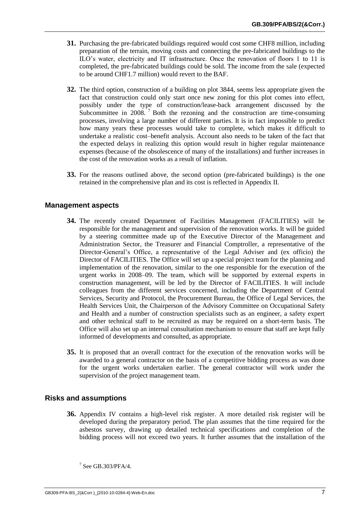- **31.** Purchasing the pre-fabricated buildings required would cost some CHF8 million, including preparation of the terrain, moving costs and connecting the pre-fabricated buildings to the ILO's water, electricity and IT infrastructure. Once the renovation of floors 1 to 11 is completed, the pre-fabricated buildings could be sold. The income from the sale (expected to be around CHF1.7 million) would revert to the BAF.
- **32.** The third option, construction of a building on plot 3844, seems less appropriate given the fact that construction could only start once new zoning for this plot comes into effect, possibly under the type of construction/lease-back arrangement discussed by the Subcommittee in  $2008.7$  Both the rezoning and the construction are time-consuming processes, involving a large number of different parties. It is in fact impossible to predict how many years these processes would take to complete, which makes it difficult to undertake a realistic cost–benefit analysis. Account also needs to be taken of the fact that the expected delays in realizing this option would result in higher regular maintenance expenses (because of the obsolescence of many of the installations) and further increases in the cost of the renovation works as a result of inflation.
- **33.** For the reasons outlined above, the second option (pre-fabricated buildings) is the one retained in the comprehensive plan and its cost is reflected in Appendix II.

#### **Management aspects**

- **34.** The recently created Department of Facilities Management (FACILITIES) will be responsible for the management and supervision of the renovation works. It will be guided by a steering committee made up of the Executive Director of the Management and Administration Sector, the Treasurer and Financial Comptroller, a representative of the Director-General's Office, a representative of the Legal Adviser and (ex officio) the Director of FACILITIES. The Office will set up a special project team for the planning and implementation of the renovation, similar to the one responsible for the execution of the urgent works in 2008–09. The team, which will be supported by external experts in construction management, will be led by the Director of FACILITIES. It will include colleagues from the different services concerned, including the Department of Central Services, Security and Protocol, the Procurement Bureau, the Office of Legal Services, the Health Services Unit, the Chairperson of the Advisory Committee on Occupational Safety and Health and a number of construction specialists such as an engineer, a safety expert and other technical staff to be recruited as may be required on a short-term basis. The Office will also set up an internal consultation mechanism to ensure that staff are kept fully informed of developments and consulted, as appropriate.
- **35.** It is proposed that an overall contract for the execution of the renovation works will be awarded to a general contractor on the basis of a competitive bidding process as was done for the urgent works undertaken earlier. The general contractor will work under the supervision of the project management team.

#### **Risks and assumptions**

**36.** Appendix IV contains a high-level risk register. A more detailed risk register will be developed during the preparatory period. The plan assumes that the time required for the asbestos survey, drawing up detailed technical specifications and completion of the bidding process will not exceed two years. It further assumes that the installation of the

 $7$  See GB.303/PFA/4.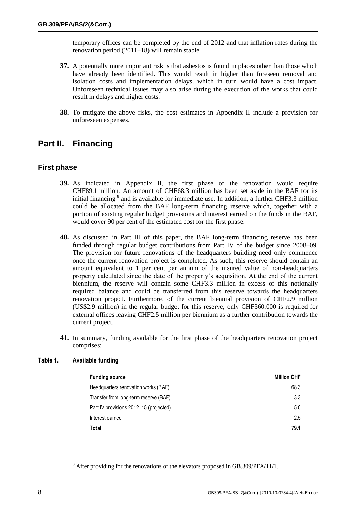temporary offices can be completed by the end of 2012 and that inflation rates during the renovation period (2011–18) will remain stable.

- **37.** A potentially more important risk is that asbestos is found in places other than those which have already been identified. This would result in higher than foreseen removal and isolation costs and implementation delays, which in turn would have a cost impact. Unforeseen technical issues may also arise during the execution of the works that could result in delays and higher costs.
- **38.** To mitigate the above risks, the cost estimates in Appendix II include a provision for unforeseen expenses.

# **Part II. Financing**

#### **First phase**

- **39.** As indicated in Appendix II, the first phase of the renovation would require CHF89.1 million. An amount of CHF68.3 million has been set aside in the BAF for its initial financing  $\delta$  and is available for immediate use. In addition, a further CHF3.3 million could be allocated from the BAF long-term financing reserve which, together with a portion of existing regular budget provisions and interest earned on the funds in the BAF, would cover 90 per cent of the estimated cost for the first phase.
- **40.** As discussed in Part III of this paper, the BAF long-term financing reserve has been funded through regular budget contributions from Part IV of the budget since 2008–09. The provision for future renovations of the headquarters building need only commence once the current renovation project is completed. As such, this reserve should contain an amount equivalent to 1 per cent per annum of the insured value of non-headquarters property calculated since the date of the property's acquisition. At the end of the current biennium, the reserve will contain some CHF3.3 million in excess of this notionally required balance and could be transferred from this reserve towards the headquarters renovation project. Furthermore, of the current biennial provision of CHF2.9 million (US\$2.9 million) in the regular budget for this reserve, only CHF360,000 is required for external offices leaving CHF2.5 million per biennium as a further contribution towards the current project.
- **41.** In summary, funding available for the first phase of the headquarters renovation project comprises:

| <b>Funding source</b>                  | <b>Million CHF</b> |
|----------------------------------------|--------------------|
| Headquarters renovation works (BAF)    | 68.3               |
| Transfer from long-term reserve (BAF)  | 3.3                |
| Part IV provisions 2012-15 (projected) | 5.0                |
| Interest earned                        | 2.5                |
| Total                                  | 79.1               |

#### **Table 1. Available funding**

<sup>8</sup> After providing for the renovations of the elevators proposed in GB.309/PFA/11/1.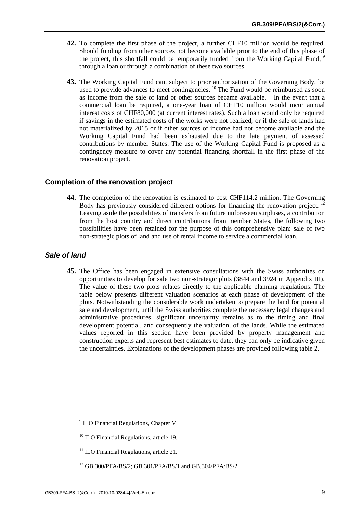- **42.** To complete the first phase of the project, a further CHF10 million would be required. Should funding from other sources not become available prior to the end of this phase of the project, this shortfall could be temporarily funded from the Working Capital Fund, <sup>9</sup> through a loan or through a combination of these two sources.
- **43.** The Working Capital Fund can, subject to prior authorization of the Governing Body, be used to provide advances to meet contingencies. <sup>10</sup> The Fund would be reimbursed as soon as income from the sale of land or other sources became available.  $\frac{11}{11}$  In the event that a commercial loan be required, a one-year loan of CHF10 million would incur annual interest costs of CHF80,000 (at current interest rates). Such a loan would only be required if savings in the estimated costs of the works were not realized; or if the sale of lands had not materialized by 2015 or if other sources of income had not become available and the Working Capital Fund had been exhausted due to the late payment of assessed contributions by member States. The use of the Working Capital Fund is proposed as a contingency measure to cover any potential financing shortfall in the first phase of the renovation project.

#### **Completion of the renovation project**

**44.** The completion of the renovation is estimated to cost CHF114.2 million. The Governing Body has previously considered different options for financing the renovation project. Leaving aside the possibilities of transfers from future unforeseen surpluses, a contribution from the host country and direct contributions from member States, the following two possibilities have been retained for the purpose of this comprehensive plan: sale of two non-strategic plots of land and use of rental income to service a commercial loan.

#### *Sale of land*

**45.** The Office has been engaged in extensive consultations with the Swiss authorities on opportunities to develop for sale two non-strategic plots (3844 and 3924 in Appendix III). The value of these two plots relates directly to the applicable planning regulations. The table below presents different valuation scenarios at each phase of development of the plots. Notwithstanding the considerable work undertaken to prepare the land for potential sale and development, until the Swiss authorities complete the necessary legal changes and administrative procedures, significant uncertainty remains as to the timing and final development potential, and consequently the valuation, of the lands. While the estimated values reported in this section have been provided by property management and construction experts and represent best estimates to date, they can only be indicative given the uncertainties. Explanations of the development phases are provided following table 2.

<sup>&</sup>lt;sup>9</sup> ILO Financial Regulations, Chapter V.

<sup>&</sup>lt;sup>10</sup> ILO Financial Regulations, article 19.

 $11$  ILO Financial Regulations, article 21.

<sup>12</sup> GB.300/PFA/BS/2; GB.301/PFA/BS/1 and GB.304/PFA/BS/2.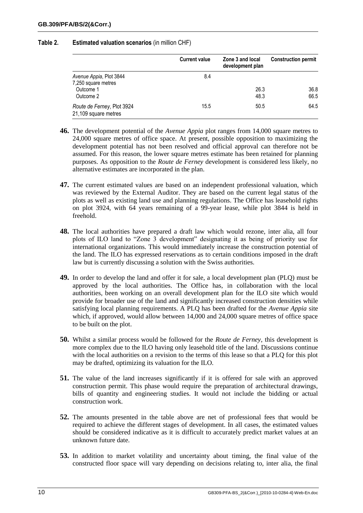#### **Table 2. Estimated valuation scenarios** (in million CHF)

|                                                                          | <b>Current value</b> | Zone 3 and local<br>development plan | <b>Construction permit</b> |
|--------------------------------------------------------------------------|----------------------|--------------------------------------|----------------------------|
| Avenue Appia, Plot 3844<br>7,250 square metres<br>Outcome 1<br>Outcome 2 | 8.4                  | 26.3<br>48.3                         | 36.8<br>66.5               |
| Route de Ferney, Plot 3924<br>21,109 square metres                       | 15.5                 | 50.5                                 | 64.5                       |

- **46.** The development potential of the *Avenue Appia* plot ranges from 14,000 square metres to 24,000 square metres of office space. At present, possible opposition to maximizing the development potential has not been resolved and official approval can therefore not be assumed. For this reason, the lower square metres estimate has been retained for planning purposes. As opposition to the *Route de Ferney* development is considered less likely, no alternative estimates are incorporated in the plan.
- **47.** The current estimated values are based on an independent professional valuation, which was reviewed by the External Auditor. They are based on the current legal status of the plots as well as existing land use and planning regulations. The Office has leasehold rights on plot 3924, with  $64$  years remaining of a 99-year lease, while plot 3844 is held in freehold.
- **48.** The local authorities have prepared a draft law which would rezone, inter alia, all four plots of ILO land to "Zone 3 development" designating it as being of priority use for international organizations. This would immediately increase the construction potential of the land. The ILO has expressed reservations as to certain conditions imposed in the draft law but is currently discussing a solution with the Swiss authorities.
- **49.** In order to develop the land and offer it for sale, a local development plan (PLQ) must be approved by the local authorities. The Office has, in collaboration with the local authorities, been working on an overall development plan for the ILO site which would provide for broader use of the land and significantly increased construction densities while satisfying local planning requirements. A PLQ has been drafted for the *Avenue Appia* site which, if approved, would allow between 14,000 and 24,000 square metres of office space to be built on the plot.
- **50.** Whilst a similar process would be followed for the *Route de Ferney*, this development is more complex due to the ILO having only leasehold title of the land. Discussions continue with the local authorities on a revision to the terms of this lease so that a PLQ for this plot may be drafted, optimizing its valuation for the ILO.
- **51.** The value of the land increases significantly if it is offered for sale with an approved construction permit. This phase would require the preparation of architectural drawings, bills of quantity and engineering studies. It would not include the bidding or actual construction work.
- **52.** The amounts presented in the table above are net of professional fees that would be required to achieve the different stages of development. In all cases, the estimated values should be considered indicative as it is difficult to accurately predict market values at an unknown future date.
- **53.** In addition to market volatility and uncertainty about timing, the final value of the constructed floor space will vary depending on decisions relating to, inter alia, the final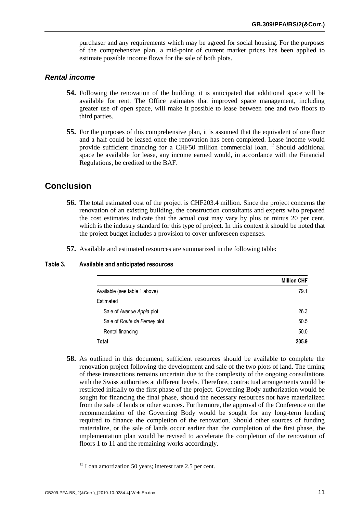purchaser and any requirements which may be agreed for social housing. For the purposes of the comprehensive plan, a mid-point of current market prices has been applied to estimate possible income flows for the sale of both plots.

#### *Rental income*

- **54.** Following the renovation of the building, it is anticipated that additional space will be available for rent. The Office estimates that improved space management, including greater use of open space, will make it possible to lease between one and two floors to third parties.
- **55.** For the purposes of this comprehensive plan, it is assumed that the equivalent of one floor and a half could be leased once the renovation has been completed. Lease income would provide sufficient financing for a CHF50 million commercial loan.<sup>13</sup> Should additional space be available for lease, any income earned would, in accordance with the Financial Regulations, be credited to the BAF.

### **Conclusion**

- **56.** The total estimated cost of the project is CHF203.4 million. Since the project concerns the renovation of an existing building, the construction consultants and experts who prepared the cost estimates indicate that the actual cost may vary by plus or minus 20 per cent, which is the industry standard for this type of project. In this context it should be noted that the project budget includes a provision to cover unforeseen expenses.
- **57.** Available and estimated resources are summarized in the following table:

#### **Table 3. Available and anticipated resources**

|                               | <b>Million CHF</b> |
|-------------------------------|--------------------|
| Available (see table 1 above) | 79.1               |
| Estimated                     |                    |
| Sale of Avenue Appia plot     | 26.3               |
| Sale of Route de Ferney plot  | 50.5               |
| Rental financing              | 50.0               |
| Total                         | 205.9              |

**58.** As outlined in this document, sufficient resources should be available to complete the renovation project following the development and sale of the two plots of land. The timing of these transactions remains uncertain due to the complexity of the ongoing consultations with the Swiss authorities at different levels. Therefore, contractual arrangements would be restricted initially to the first phase of the project. Governing Body authorization would be sought for financing the final phase, should the necessary resources not have materialized from the sale of lands or other sources. Furthermore, the approval of the Conference on the recommendation of the Governing Body would be sought for any long-term lending required to finance the completion of the renovation. Should other sources of funding materialize, or the sale of lands occur earlier than the completion of the first phase, the implementation plan would be revised to accelerate the completion of the renovation of floors 1 to 11 and the remaining works accordingly.

 $13$  Loan amortization 50 years; interest rate 2.5 per cent.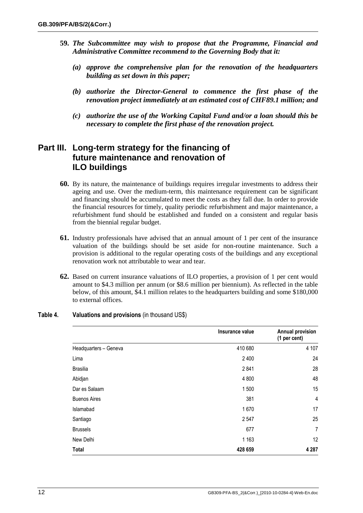- **59.** *The Subcommittee may wish to propose that the Programme, Financial and Administrative Committee recommend to the Governing Body that it:*
	- *(a) approve the comprehensive plan for the renovation of the headquarters building as set down in this paper;*
	- *(b) authorize the Director-General to commence the first phase of the renovation project immediately at an estimated cost of CHF89.1 million; and*
	- *(c) authorize the use of the Working Capital Fund and/or a loan should this be necessary to complete the first phase of the renovation project.*

### **Part III. Long-term strategy for the financing of future maintenance and renovation of ILO buildings**

- **60.** By its nature, the maintenance of buildings requires irregular investments to address their ageing and use. Over the medium-term, this maintenance requirement can be significant and financing should be accumulated to meet the costs as they fall due. In order to provide the financial resources for timely, quality periodic refurbishment and major maintenance, a refurbishment fund should be established and funded on a consistent and regular basis from the biennial regular budget.
- **61.** Industry professionals have advised that an annual amount of 1 per cent of the insurance valuation of the buildings should be set aside for non-routine maintenance. Such a provision is additional to the regular operating costs of the buildings and any exceptional renovation work not attributable to wear and tear.
- **62.** Based on current insurance valuations of ILO properties, a provision of 1 per cent would amount to \$4.3 million per annum (or \$8.6 million per biennium). As reflected in the table below, of this amount, \$4.1 million relates to the headquarters building and some \$180,000 to external offices.

|                       | Insurance value | <b>Annual provision</b><br>(1 per cent) |
|-----------------------|-----------------|-----------------------------------------|
| Headquarters - Geneva | 410 680         | 4 107                                   |
| Lima                  | 2 4 0 0         | 24                                      |
| <b>Brasilia</b>       | 2841            | 28                                      |
| Abidjan               | 4 8 0 0         | 48                                      |
| Dar es Salaam         | 1500            | 15                                      |
| <b>Buenos Aires</b>   | 381             | $\overline{4}$                          |
| Islamabad             | 1670            | 17                                      |
| Santiago              | 2 5 4 7         | 25                                      |
| <b>Brussels</b>       | 677             | 7                                       |
| New Delhi             | 1 1 6 3         | 12                                      |
| <b>Total</b>          | 428 659         | 4 2 8 7                                 |

#### **Table 4. Valuations and provisions** (in thousand US\$)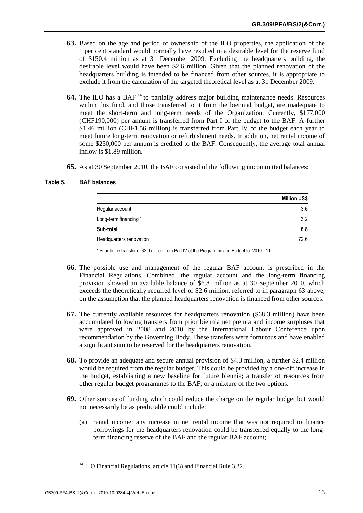- **63.** Based on the age and period of ownership of the ILO properties, the application of the 1 per cent standard would normally have resulted in a desirable level for the reserve fund of \$150.4 million as at 31 December 2009. Excluding the headquarters building, the desirable level would have been \$2.6 million. Given that the planned renovation of the headquarters building is intended to be financed from other sources, it is appropriate to exclude it from the calculation of the targeted theoretical level as at 31 December 2009.
- **64.** The ILO has a BAF<sup>14</sup> to partially address major building maintenance needs. Resources within this fund, and those transferred to it from the biennial budget, are inadequate to meet the short-term and long-term needs of the Organization. Currently, \$177,000 (CHF190,000) per annum is transferred from Part I of the budget to the BAF. A further \$1.46 million (CHF1.56 million) is transferred from Part IV of the budget each year to meet future long-term renovation or refurbishment needs. In addition, net rental income of some \$250,000 per annum is credited to the BAF. Consequently, the average total annual inflow is \$1.89 million.
- **65.** As at 30 September 2010, the BAF consisted of the following uncommitted balances:

|                                                                                                           | <b>Million US\$</b> |
|-----------------------------------------------------------------------------------------------------------|---------------------|
| Regular account                                                                                           | 3.6                 |
| Long-term financing 1                                                                                     | 3.2                 |
| Sub-total                                                                                                 | 6.8                 |
| Headquarters renovation                                                                                   | 72.6                |
| <sup>1</sup> Prior to the transfer of \$2.9 million from Part IV of the Programme and Budget for 2010–11. |                     |

#### **Table 5. BAF balances**

- **66.** The possible use and management of the regular BAF account is prescribed in the Financial Regulations. Combined, the regular account and the long-term financing provision showed an available balance of \$6.8 million as at 30 September 2010, which exceeds the theoretically required level of \$2.6 million, referred to in paragraph 63 above, on the assumption that the planned headquarters renovation is financed from other sources.
- **67.** The currently available resources for headquarters renovation (\$68.3 million) have been accumulated following transfers from prior biennia net premia and income surpluses that were approved in 2008 and 2010 by the International Labour Conference upon recommendation by the Governing Body. These transfers were fortuitous and have enabled a significant sum to be reserved for the headquarters renovation.
- **68.** To provide an adequate and secure annual provision of \$4.3 million, a further \$2.4 million would be required from the regular budget. This could be provided by a one-off increase in the budget, establishing a new baseline for future biennia; a transfer of resources from other regular budget programmes to the BAF; or a mixture of the two options.
- **69.** Other sources of funding which could reduce the charge on the regular budget but would not necessarily be as predictable could include:
	- (a) rental income: any increase in net rental income that was not required to finance borrowings for the headquarters renovation could be transferred equally to the longterm financing reserve of the BAF and the regular BAF account;

 $14$  ILO Financial Regulations, article 11(3) and Financial Rule 3.32.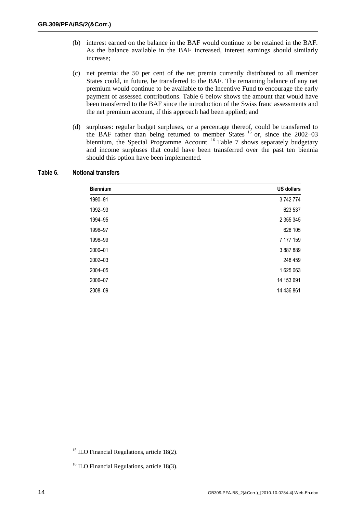- (b) interest earned on the balance in the BAF would continue to be retained in the BAF. As the balance available in the BAF increased, interest earnings should similarly increase;
- (c) net premia: the 50 per cent of the net premia currently distributed to all member States could, in future, be transferred to the BAF. The remaining balance of any net premium would continue to be available to the Incentive Fund to encourage the early payment of assessed contributions. Table 6 below shows the amount that would have been transferred to the BAF since the introduction of the Swiss franc assessments and the net premium account, if this approach had been applied; and
- (d) surpluses: regular budget surpluses, or a percentage thereof, could be transferred to the BAF rather than being returned to member States  $15$  or, since the 2002–03 biennium, the Special Programme Account. <sup>16</sup> Table 7 shows separately budgetary and income surpluses that could have been transferred over the past ten biennia should this option have been implemented.

| <b>Biennium</b> | <b>US dollars</b> |
|-----------------|-------------------|
| 1990-91         | 3742774           |
| 1992-93         | 623 537           |
| 1994-95         | 2 355 345         |
| 1996-97         | 628 105           |
| 1998-99         | 7 177 159         |
| 2000-01         | 3 887 889         |
| 2002-03         | 248 459           |
| 2004-05         | 1625063           |
| 2006-07         | 14 153 691        |
| 2008-09         | 14 436 861        |

#### **Table 6. Notional transfers**

 $15$  ILO Financial Regulations, article 18(2).

<sup>16</sup> ILO Financial Regulations, article 18(3).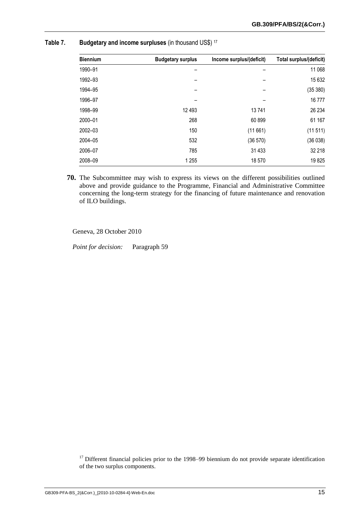| <b>Biennium</b> | <b>Budgetary surplus</b> | Income surplus/(deficit) | Total surplus/(deficit) |
|-----------------|--------------------------|--------------------------|-------------------------|
| 1990-91         |                          |                          | 11 068                  |
| 1992-93         |                          |                          | 15 632                  |
| 1994-95         |                          |                          | (35 380)                |
| 1996-97         |                          |                          | 16777                   |
| 1998-99         | 12 4 93                  | 13741                    | 26 234                  |
| 2000-01         | 268                      | 60 899                   | 61 167                  |
| 2002-03         | 150                      | (11661)                  | (11511)                 |
| 2004-05         | 532                      | (36 570)                 | (36038)                 |
| 2006-07         | 785                      | 31 4 33                  | 32 218                  |
| 2008-09         | 1 2 5 5                  | 18 570                   | 19825                   |

#### **Table 7. Budgetary and income surpluses** (in thousand US\$) <sup>17</sup>

**70.** The Subcommittee may wish to express its views on the different possibilities outlined above and provide guidance to the Programme, Financial and Administrative Committee concerning the long-term strategy for the financing of future maintenance and renovation of ILO buildings.

Geneva, 28 October 2010

*Point for decision:* Paragraph 59

 $17$  Different financial policies prior to the 1998–99 biennium do not provide separate identification of the two surplus components.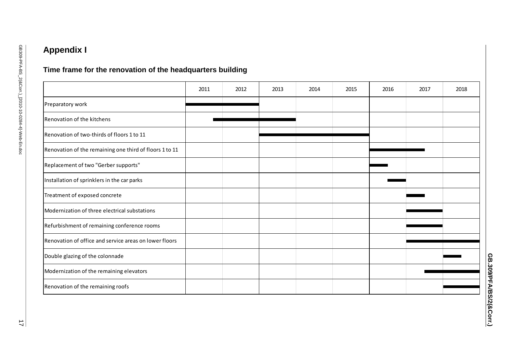# **Appendix I**

# **Time frame for the renovation of the headquarters building**

|                                                         | 2011 | 2012 | 2013 | 2014 | 2015 | 2016 | 2017 | 2018 |
|---------------------------------------------------------|------|------|------|------|------|------|------|------|
| Preparatory work                                        |      |      |      |      |      |      |      |      |
| Renovation of the kitchens                              |      |      |      |      |      |      |      |      |
| Renovation of two-thirds of floors 1 to 11              |      |      |      |      |      |      |      |      |
| Renovation of the remaining one third of floors 1 to 11 |      |      |      |      |      |      |      |      |
| Replacement of two "Gerber supports"                    |      |      |      |      |      |      |      |      |
| Installation of sprinklers in the car parks             |      |      |      |      |      |      |      |      |
| Treatment of exposed concrete                           |      |      |      |      |      |      |      |      |
| Modernization of three electrical substations           |      |      |      |      |      |      |      |      |
| Refurbishment of remaining conference rooms             |      |      |      |      |      |      |      |      |
| Renovation of office and service areas on lower floors  |      |      |      |      |      |      |      |      |
| Double glazing of the colonnade                         |      |      |      |      |      |      |      |      |
| Modernization of the remaining elevators                |      |      |      |      |      |      |      |      |
| Renovation of the remaining roofs                       |      |      |      |      |      |      |      |      |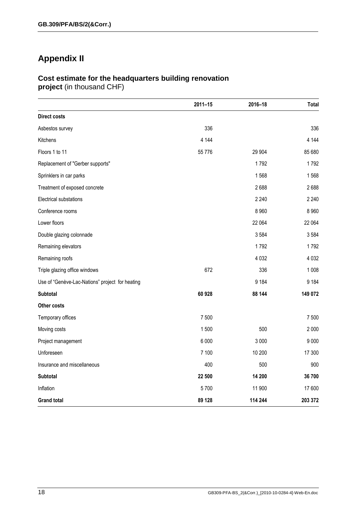# **Appendix II**

# **Cost estimate for the headquarters building renovation**

**project** (in thousand CHF)

|                                                 | $2011 - 15$ | 2016-18 | <b>Total</b> |
|-------------------------------------------------|-------------|---------|--------------|
| <b>Direct costs</b>                             |             |         |              |
| Asbestos survey                                 | 336         |         | 336          |
| Kitchens                                        | 4 1 4 4     |         | 4 1 4 4      |
| Floors 1 to 11                                  | 55 7 7 6    | 29 904  | 85 680       |
| Replacement of "Gerber supports"                |             | 1792    | 1792         |
| Sprinklers in car parks                         |             | 1568    | 1568         |
| Treatment of exposed concrete                   |             | 2688    | 2688         |
| Electrical substations                          |             | 2 2 4 0 | 2 2 4 0      |
| Conference rooms                                |             | 8 9 6 0 | 8 9 6 0      |
| Lower floors                                    |             | 22 064  | 22 064       |
| Double glazing colonnade                        |             | 3584    | 3584         |
| Remaining elevators                             |             | 1792    | 1792         |
| Remaining roofs                                 |             | 4 0 3 2 | 4 0 3 2      |
| Triple glazing office windows                   | 672         | 336     | 1 0 0 8      |
| Use of "Genève-Lac-Nations" project for heating |             | 9 1 8 4 | 9 1 8 4      |
| <b>Subtotal</b>                                 | 60 928      | 88 144  | 149 072      |
| Other costs                                     |             |         |              |
| Temporary offices                               | 7 500       |         | 7 500        |
| Moving costs                                    | 1500        | 500     | 2 0 0 0      |
| Project management                              | 6 0 0 0     | 3 0 0 0 | 9 0 0 0      |
| Unforeseen                                      | 7 100       | 10 200  | 17 300       |
| Insurance and miscellaneous                     | 400         | 500     | 900          |
| <b>Subtotal</b>                                 | 22 500      | 14 200  | 36700        |
| Inflation                                       | 5700        | 11 900  | 17 600       |
| <b>Grand total</b>                              | 89 128      | 114 244 | 203 372      |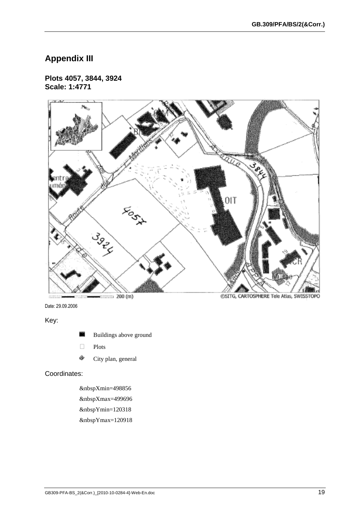# **Appendix III**

#### **Plots 4057, 3844, 3924 Scale: 1:4771**



Date: 29.09.2006

Key:

- Buildings above ground
- D<br>Plots
- è City plan, general

### Coordinates:

&nbspXmin=498856 &nbspXmax=499696 &nbspYmin=120318 &nbspYmax=120918